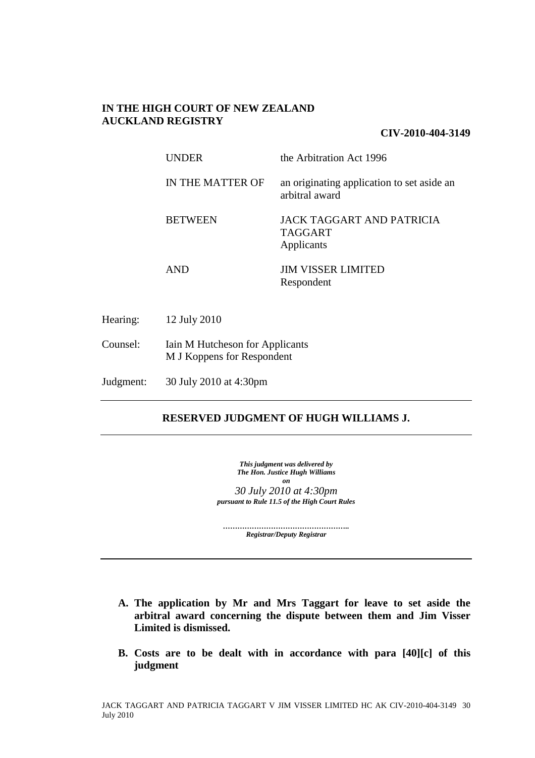## **IN THE HIGH COURT OF NEW ZEALAND AUCKLAND REGISTRY**

### **CIV-2010-404-3149**

|           | <b>UNDER</b>                                                  | the Arbitration Act 1996                                         |
|-----------|---------------------------------------------------------------|------------------------------------------------------------------|
|           | IN THE MATTER OF                                              | an originating application to set aside an<br>arbitral award     |
|           | <b>BETWEEN</b>                                                | <b>JACK TAGGART AND PATRICIA</b><br><b>TAGGART</b><br>Applicants |
|           | <b>AND</b>                                                    | <b>JIM VISSER LIMITED</b><br>Respondent                          |
| Hearing:  | 12 July 2010                                                  |                                                                  |
| Counsel:  | Iain M Hutcheson for Applicants<br>M J Koppens for Respondent |                                                                  |
| Judgment: | 30 July 2010 at 4:30pm                                        |                                                                  |

## **RESERVED JUDGMENT OF HUGH WILLIAMS J.**

*This judgment was delivered by The Hon. Justice Hugh Williams on 30 July 2010 at 4:30pm pursuant to Rule 11.5 of the High Court Rules* 

*…………………………………………….. Registrar/Deputy Registrar* 

- **A. The application by Mr and Mrs Taggart for leave to set aside the arbitral award concerning the dispute between them and Jim Visser Limited is dismissed.**
- **B. Costs are to be dealt with in accordance with para [40][c] of this judgment**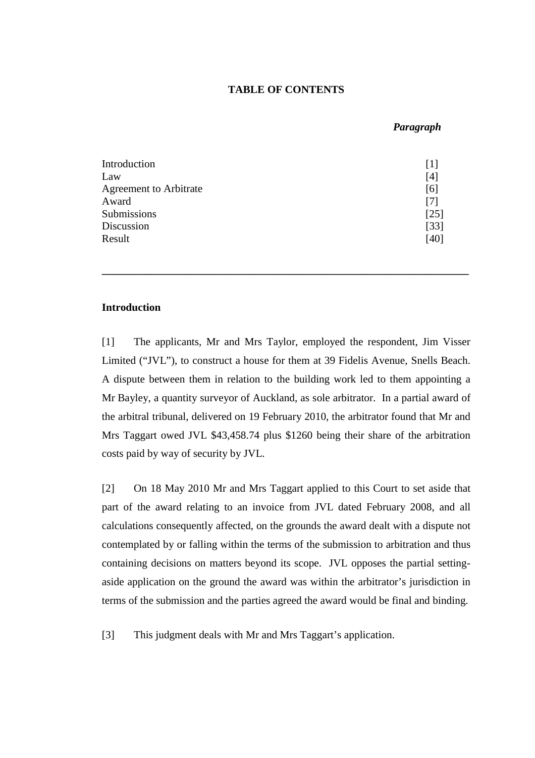### **TABLE OF CONTENTS**

### *Paragraph*

| Introduction           |        |
|------------------------|--------|
| Law                    | [4]    |
| Agreement to Arbitrate | [6]    |
| Award                  |        |
| Submissions            | [25]   |
| Discussion             | $[33]$ |
| Result                 | [40]   |

### **Introduction**

[1] The applicants, Mr and Mrs Taylor, employed the respondent, Jim Visser Limited ("JVL"), to construct a house for them at 39 Fidelis Avenue, Snells Beach. A dispute between them in relation to the building work led to them appointing a Mr Bayley, a quantity surveyor of Auckland, as sole arbitrator. In a partial award of the arbitral tribunal, delivered on 19 February 2010, the arbitrator found that Mr and Mrs Taggart owed JVL \$43,458.74 plus \$1260 being their share of the arbitration costs paid by way of security by JVL.

**\_\_\_\_\_\_\_\_\_\_\_\_\_\_\_\_\_\_\_\_\_\_\_\_\_\_\_\_\_\_\_\_\_\_\_\_\_\_\_\_\_\_\_\_\_\_\_\_\_\_\_\_\_\_\_\_\_\_\_\_\_\_\_\_\_\_\_\_** 

[2] On 18 May 2010 Mr and Mrs Taggart applied to this Court to set aside that part of the award relating to an invoice from JVL dated February 2008, and all calculations consequently affected, on the grounds the award dealt with a dispute not contemplated by or falling within the terms of the submission to arbitration and thus containing decisions on matters beyond its scope. JVL opposes the partial settingaside application on the ground the award was within the arbitrator's jurisdiction in terms of the submission and the parties agreed the award would be final and binding.

[3] This judgment deals with Mr and Mrs Taggart's application.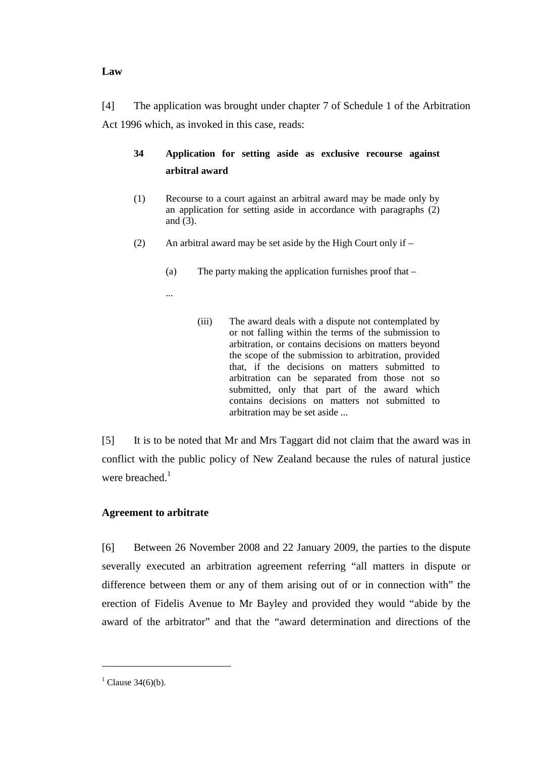### **Law**

[4] The application was brought under chapter 7 of Schedule 1 of the Arbitration Act 1996 which, as invoked in this case, reads:

# **34 Application for setting aside as exclusive recourse against arbitral award**

- (1) Recourse to a court against an arbitral award may be made only by an application for setting aside in accordance with paragraphs (2) and  $\overline{(3)}$ .
- (2) An arbitral award may be set aside by the High Court only if  $-$ 
	- (a) The party making the application furnishes proof that –
	- ...
- (iii) The award deals with a dispute not contemplated by or not falling within the terms of the submission to arbitration, or contains decisions on matters beyond the scope of the submission to arbitration, provided that, if the decisions on matters submitted to arbitration can be separated from those not so submitted, only that part of the award which contains decisions on matters not submitted to arbitration may be set aside ...

[5] It is to be noted that Mr and Mrs Taggart did not claim that the award was in conflict with the public policy of New Zealand because the rules of natural justice were breached.<sup>1</sup>

## **Agreement to arbitrate**

[6] Between 26 November 2008 and 22 January 2009, the parties to the dispute severally executed an arbitration agreement referring "all matters in dispute or difference between them or any of them arising out of or in connection with" the erection of Fidelis Avenue to Mr Bayley and provided they would "abide by the award of the arbitrator" and that the "award determination and directions of the

<sup>&</sup>lt;sup>1</sup> Clause 34(6)(b).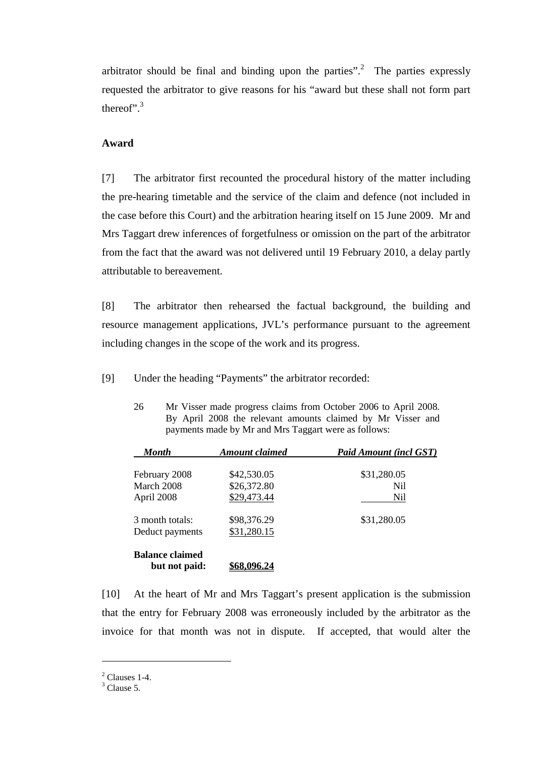arbitrator should be final and binding upon the parties".<sup>2</sup> The parties expressly requested the arbitrator to give reasons for his "award but these shall not form part thereof". $3$ 

### **Award**

[7] The arbitrator first recounted the procedural history of the matter including the pre-hearing timetable and the service of the claim and defence (not included in the case before this Court) and the arbitration hearing itself on 15 June 2009. Mr and Mrs Taggart drew inferences of forgetfulness or omission on the part of the arbitrator from the fact that the award was not delivered until 19 February 2010, a delay partly attributable to bereavement.

[8] The arbitrator then rehearsed the factual background, the building and resource management applications, JVL's performance pursuant to the agreement including changes in the scope of the work and its progress.

[9] Under the heading "Payments" the arbitrator recorded:

| <b>Month</b>                            | Amount claimed | <b>Paid Amount (incl GST)</b> |
|-----------------------------------------|----------------|-------------------------------|
| February 2008                           | \$42,530.05    | \$31,280.05                   |
| March 2008                              | \$26,372.80    | Nil.                          |
| April 2008                              | \$29,473.44    | Nil                           |
| 3 month totals:                         | \$98,376.29    | \$31,280.05                   |
| Deduct payments                         | \$31,280.15    |                               |
| <b>Balance claimed</b><br>but not paid: |                |                               |

26 Mr Visser made progress claims from October 2006 to April 2008. By April 2008 the relevant amounts claimed by Mr Visser and payments made by Mr and Mrs Taggart were as follows:

[10] At the heart of Mr and Mrs Taggart's present application is the submission that the entry for February 2008 was erroneously included by the arbitrator as the invoice for that month was not in dispute. If accepted, that would alter the

 $<sup>2</sup>$  Clauses 1-4.</sup>

 $3$  Clause 5.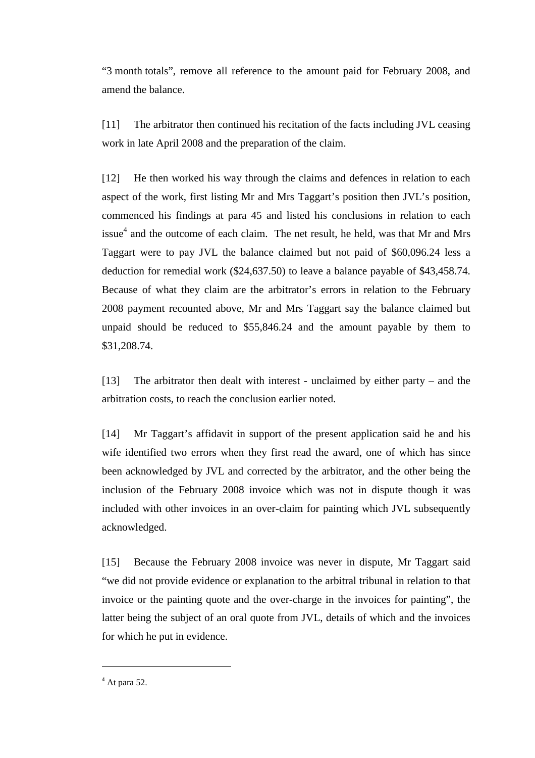"3 month totals", remove all reference to the amount paid for February 2008, and amend the balance.

[11] The arbitrator then continued his recitation of the facts including JVL ceasing work in late April 2008 and the preparation of the claim.

[12] He then worked his way through the claims and defences in relation to each aspect of the work, first listing Mr and Mrs Taggart's position then JVL's position, commenced his findings at para 45 and listed his conclusions in relation to each issue<sup>4</sup> and the outcome of each claim. The net result, he held, was that Mr and Mrs Taggart were to pay JVL the balance claimed but not paid of \$60,096.24 less a deduction for remedial work (\$24,637.50) to leave a balance payable of \$43,458.74. Because of what they claim are the arbitrator's errors in relation to the February 2008 payment recounted above, Mr and Mrs Taggart say the balance claimed but unpaid should be reduced to \$55,846.24 and the amount payable by them to \$31,208.74.

[13] The arbitrator then dealt with interest - unclaimed by either party – and the arbitration costs, to reach the conclusion earlier noted.

[14] Mr Taggart's affidavit in support of the present application said he and his wife identified two errors when they first read the award, one of which has since been acknowledged by JVL and corrected by the arbitrator, and the other being the inclusion of the February 2008 invoice which was not in dispute though it was included with other invoices in an over-claim for painting which JVL subsequently acknowledged.

[15] Because the February 2008 invoice was never in dispute, Mr Taggart said "we did not provide evidence or explanation to the arbitral tribunal in relation to that invoice or the painting quote and the over-charge in the invoices for painting", the latter being the subject of an oral quote from JVL, details of which and the invoices for which he put in evidence.

 $<sup>4</sup>$  At para 52.</sup>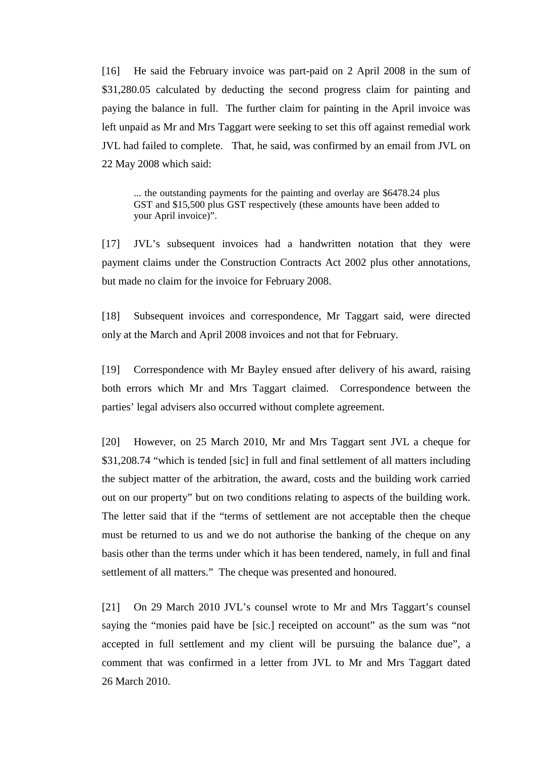[16] He said the February invoice was part-paid on 2 April 2008 in the sum of \$31,280.05 calculated by deducting the second progress claim for painting and paying the balance in full. The further claim for painting in the April invoice was left unpaid as Mr and Mrs Taggart were seeking to set this off against remedial work JVL had failed to complete. That, he said, was confirmed by an email from JVL on 22 May 2008 which said:

... the outstanding payments for the painting and overlay are \$6478.24 plus GST and \$15,500 plus GST respectively (these amounts have been added to your April invoice)".

[17] JVL's subsequent invoices had a handwritten notation that they were payment claims under the Construction Contracts Act 2002 plus other annotations, but made no claim for the invoice for February 2008.

[18] Subsequent invoices and correspondence, Mr Taggart said, were directed only at the March and April 2008 invoices and not that for February.

[19] Correspondence with Mr Bayley ensued after delivery of his award, raising both errors which Mr and Mrs Taggart claimed. Correspondence between the parties' legal advisers also occurred without complete agreement.

[20] However, on 25 March 2010, Mr and Mrs Taggart sent JVL a cheque for \$31,208.74 "which is tended [sic] in full and final settlement of all matters including the subject matter of the arbitration, the award, costs and the building work carried out on our property" but on two conditions relating to aspects of the building work. The letter said that if the "terms of settlement are not acceptable then the cheque must be returned to us and we do not authorise the banking of the cheque on any basis other than the terms under which it has been tendered, namely, in full and final settlement of all matters." The cheque was presented and honoured.

[21] On 29 March 2010 JVL's counsel wrote to Mr and Mrs Taggart's counsel saying the "monies paid have be [sic.] receipted on account" as the sum was "not accepted in full settlement and my client will be pursuing the balance due", a comment that was confirmed in a letter from JVL to Mr and Mrs Taggart dated 26 March 2010.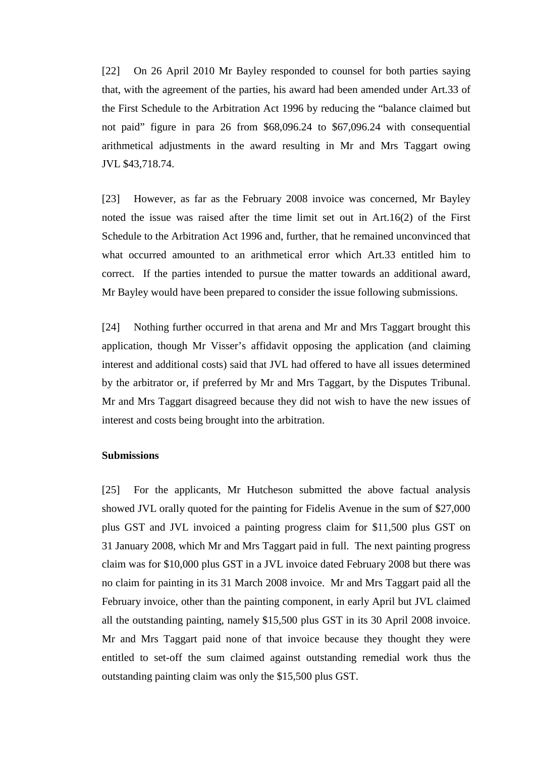[22] On 26 April 2010 Mr Bayley responded to counsel for both parties saying that, with the agreement of the parties, his award had been amended under Art.33 of the First Schedule to the Arbitration Act 1996 by reducing the "balance claimed but not paid" figure in para 26 from \$68,096.24 to \$67,096.24 with consequential arithmetical adjustments in the award resulting in Mr and Mrs Taggart owing JVL \$43,718.74.

[23] However, as far as the February 2008 invoice was concerned, Mr Bayley noted the issue was raised after the time limit set out in Art.16(2) of the First Schedule to the Arbitration Act 1996 and, further, that he remained unconvinced that what occurred amounted to an arithmetical error which Art.33 entitled him to correct. If the parties intended to pursue the matter towards an additional award, Mr Bayley would have been prepared to consider the issue following submissions.

[24] Nothing further occurred in that arena and Mr and Mrs Taggart brought this application, though Mr Visser's affidavit opposing the application (and claiming interest and additional costs) said that JVL had offered to have all issues determined by the arbitrator or, if preferred by Mr and Mrs Taggart, by the Disputes Tribunal. Mr and Mrs Taggart disagreed because they did not wish to have the new issues of interest and costs being brought into the arbitration.

### **Submissions**

[25] For the applicants, Mr Hutcheson submitted the above factual analysis showed JVL orally quoted for the painting for Fidelis Avenue in the sum of \$27,000 plus GST and JVL invoiced a painting progress claim for \$11,500 plus GST on 31 January 2008, which Mr and Mrs Taggart paid in full. The next painting progress claim was for \$10,000 plus GST in a JVL invoice dated February 2008 but there was no claim for painting in its 31 March 2008 invoice. Mr and Mrs Taggart paid all the February invoice, other than the painting component, in early April but JVL claimed all the outstanding painting, namely \$15,500 plus GST in its 30 April 2008 invoice. Mr and Mrs Taggart paid none of that invoice because they thought they were entitled to set-off the sum claimed against outstanding remedial work thus the outstanding painting claim was only the \$15,500 plus GST.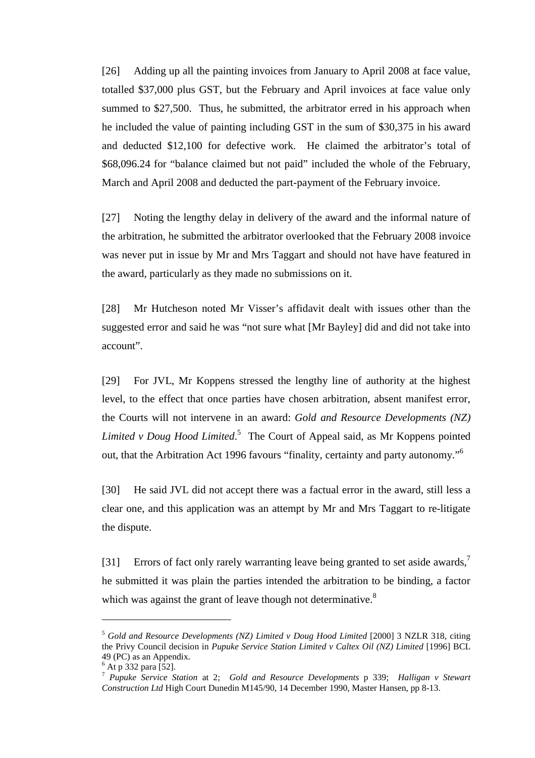[26] Adding up all the painting invoices from January to April 2008 at face value, totalled \$37,000 plus GST, but the February and April invoices at face value only summed to \$27,500. Thus, he submitted, the arbitrator erred in his approach when he included the value of painting including GST in the sum of \$30,375 in his award and deducted \$12,100 for defective work. He claimed the arbitrator's total of \$68,096.24 for "balance claimed but not paid" included the whole of the February, March and April 2008 and deducted the part-payment of the February invoice.

[27] Noting the lengthy delay in delivery of the award and the informal nature of the arbitration, he submitted the arbitrator overlooked that the February 2008 invoice was never put in issue by Mr and Mrs Taggart and should not have have featured in the award, particularly as they made no submissions on it.

[28] Mr Hutcheson noted Mr Visser's affidavit dealt with issues other than the suggested error and said he was "not sure what [Mr Bayley] did and did not take into account".

[29] For JVL, Mr Koppens stressed the lengthy line of authority at the highest level, to the effect that once parties have chosen arbitration, absent manifest error, the Courts will not intervene in an award: *Gold and Resource Developments (NZ) Limited v Doug Hood Limited*. 5 The Court of Appeal said, as Mr Koppens pointed out, that the Arbitration Act 1996 favours "finality, certainty and party autonomy."<sup>6</sup>

[30] He said JVL did not accept there was a factual error in the award, still less a clear one, and this application was an attempt by Mr and Mrs Taggart to re-litigate the dispute.

[31] Errors of fact only rarely warranting leave being granted to set aside awards,<sup>7</sup> he submitted it was plain the parties intended the arbitration to be binding, a factor which was against the grant of leave though not determinative.<sup>8</sup>

<sup>5</sup> *Gold and Resource Developments (NZ) Limited v Doug Hood Limited* [2000] 3 NZLR 318, citing the Privy Council decision in *Pupuke Service Station Limited v Caltex Oil (NZ) Limited* [1996] BCL 49 (PC) as an Appendix.

 $<sup>6</sup>$  At p 332 para [52].</sup>

<sup>7</sup> *Pupuke Service Station* at 2; *Gold and Resource Developments* p 339; *Halligan v Stewart Construction Ltd* High Court Dunedin M145/90, 14 December 1990, Master Hansen, pp 8-13.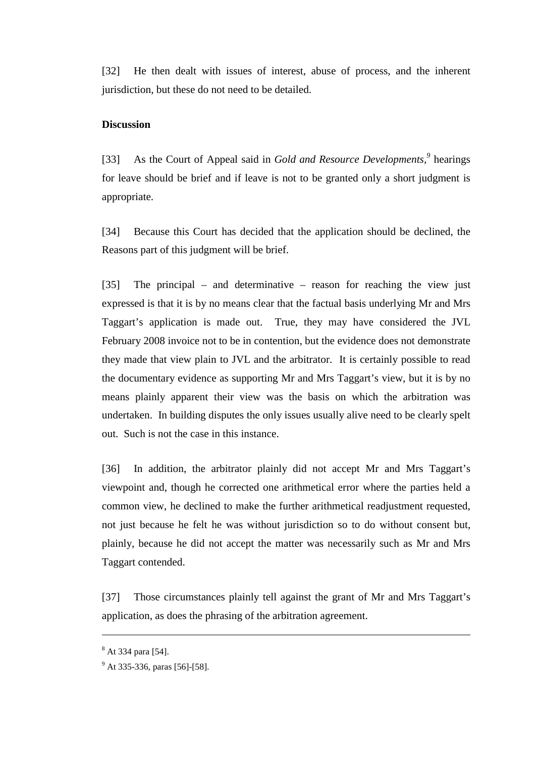[32] He then dealt with issues of interest, abuse of process, and the inherent jurisdiction, but these do not need to be detailed.

## **Discussion**

[33] As the Court of Appeal said in *Gold and Resource Developments*,<sup>9</sup> hearings for leave should be brief and if leave is not to be granted only a short judgment is appropriate.

[34] Because this Court has decided that the application should be declined, the Reasons part of this judgment will be brief.

[35] The principal – and determinative – reason for reaching the view just expressed is that it is by no means clear that the factual basis underlying Mr and Mrs Taggart's application is made out. True, they may have considered the JVL February 2008 invoice not to be in contention, but the evidence does not demonstrate they made that view plain to JVL and the arbitrator. It is certainly possible to read the documentary evidence as supporting Mr and Mrs Taggart's view, but it is by no means plainly apparent their view was the basis on which the arbitration was undertaken. In building disputes the only issues usually alive need to be clearly spelt out. Such is not the case in this instance.

[36] In addition, the arbitrator plainly did not accept Mr and Mrs Taggart's viewpoint and, though he corrected one arithmetical error where the parties held a common view, he declined to make the further arithmetical readjustment requested, not just because he felt he was without jurisdiction so to do without consent but, plainly, because he did not accept the matter was necessarily such as Mr and Mrs Taggart contended.

[37] Those circumstances plainly tell against the grant of Mr and Mrs Taggart's application, as does the phrasing of the arbitration agreement.

<sup>&</sup>lt;sup>8</sup> At 334 para [54].

<sup>&</sup>lt;sup>9</sup> At 335-336, paras [56]-[58].